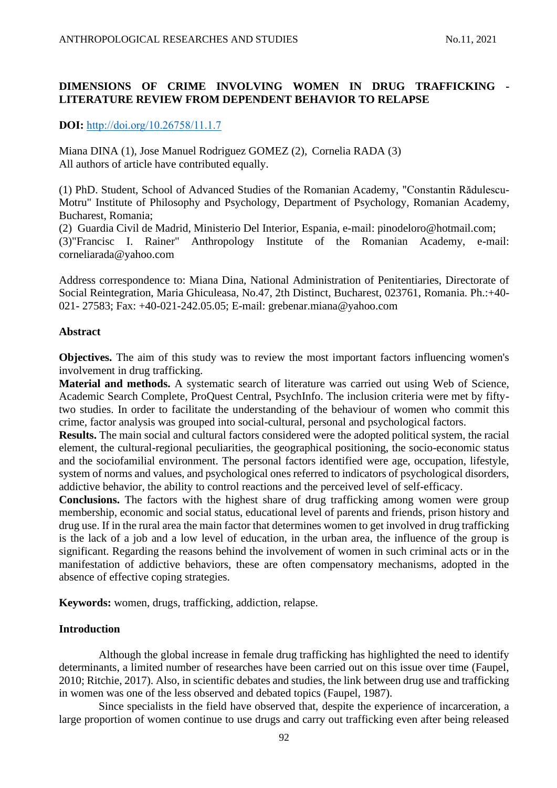### **DIMENSIONS OF CRIME INVOLVING WOMEN IN DRUG TRAFFICKING - LITERATURE REVIEW FROM DEPENDENT BEHAVIOR TO RELAPSE**

**DOI:** [http://doi.org/10.26758/11.1.7](https://www.journalstudiesanthropology.ro/en/dimensions-of-crime-involving-women-in-drug-trafficking-literature-review-from-dependent-behavior-to-relapse/a165/)

Miana DINA (1), Jose Manuel Rodriguez GOMEZ (2), Cornelia RADA (3) All authors of article have contributed equally.

(1) PhD. Student, School of Advanced Studies of the Romanian Academy, "Constantin Rădulescu-Motru" Institute of Philosophy and Psychology, Department of Psychology, Romanian Academy, Bucharest, Romania;

(2) Guardia Civil de Madrid, Ministerio Del Interior, Espania, e-mail: pinodeloro@hotmail.com; (3)"Francisc I. Rainer" Anthropology Institute of the Romanian Academy, e-mail: corneliarada@yahoo.com

Address correspondence to: Miana Dina, National Administration of Penitentiaries, Directorate of Social Reintegration, Maria Ghiculeasa, No.47, 2th Distinct, Bucharest, 023761, Romania. Ph.:+40- 021- 27583; Fax: +40-021-242.05.05; E-mail: grebenar.miana@yahoo.com

#### **Abstract**

**Objectives.** The aim of this study was to review the most important factors influencing women's involvement in drug trafficking.

**Material and methods.** A systematic search of literature was carried out using Web of Science, Academic Search Complete, ProQuest Central, PsychInfo. The inclusion criteria were met by fiftytwo studies. In order to facilitate the understanding of the behaviour of women who commit this crime, factor analysis was grouped into social-cultural, personal and psychological factors.

**Results.** The main social and cultural factors considered were the adopted political system, the racial element, the cultural-regional peculiarities, the geographical positioning, the socio-economic status and the sociofamilial environment. The personal factors identified were age, occupation, lifestyle, system of norms and values, and psychological ones referred to indicators of psychological disorders, addictive behavior, the ability to control reactions and the perceived level of self-efficacy.

**Conclusions.** The factors with the highest share of drug trafficking among women were group membership, economic and social status, educational level of parents and friends, prison history and drug use. If in the rural area the main factor that determines women to get involved in drug trafficking is the lack of a job and a low level of education, in the urban area, the influence of the group is significant. Regarding the reasons behind the involvement of women in such criminal acts or in the manifestation of addictive behaviors, these are often compensatory mechanisms, adopted in the absence of effective coping strategies.

**Keywords:** women, drugs, trafficking, addiction, relapse.

#### **Introduction**

Although the global increase in female drug trafficking has highlighted the need to identify determinants, a limited number of researches have been carried out on this issue over time (Faupel, 2010; Ritchie, 2017). Also, in scientific debates and studies, the link between drug use and trafficking in women was one of the less observed and debated topics (Faupel, 1987).

Since specialists in the field have observed that, despite the experience of incarceration, a large proportion of women continue to use drugs and carry out trafficking even after being released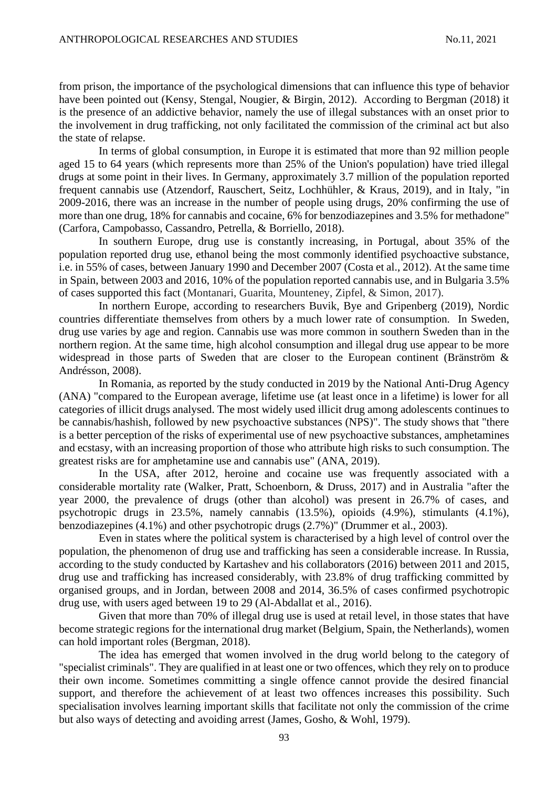from prison, the importance of the psychological dimensions that can influence this type of behavior have been pointed out (Kensy, Stengal, Nougier, & Birgin, 2012). According to Bergman (2018) it is the presence of an addictive behavior, namely the use of illegal substances with an onset prior to the involvement in drug trafficking, not only facilitated the commission of the criminal act but also the state of relapse.

In terms of global consumption, in Europe it is estimated that more than 92 million people aged 15 to 64 years (which represents more than 25% of the Union's population) have tried illegal drugs at some point in their lives. In Germany, approximately 3.7 million of the population reported frequent cannabis use (Atzendorf, Rauschert, Seitz, Lochhühler, & Kraus, 2019), and in Italy, "in 2009-2016, there was an increase in the number of people using drugs, 20% confirming the use of more than one drug, 18% for cannabis and cocaine, 6% for benzodiazepines and 3.5% for methadone" (Carfora, Campobasso, Cassandro, Petrella, & Borriello, 2018).

In southern Europe, drug use is constantly increasing, in Portugal, about 35% of the population reported drug use, ethanol being the most commonly identified psychoactive substance, i.e. in 55% of cases, between January 1990 and December 2007 (Costa et al., 2012). At the same time in Spain, between 2003 and 2016, 10% of the population reported cannabis use, and in Bulgaria 3.5% of cases supported this fact (Montanari, Guarita, Mounteney, Zipfel, & Simon, 2017).

In northern Europe, according to researchers Buvik, Bye and Gripenberg (2019), Nordic countries differentiate themselves from others by a much lower rate of consumption. In Sweden, drug use varies by age and region. Cannabis use was more common in southern Sweden than in the northern region. At the same time, high alcohol consumption and illegal drug use appear to be more widespread in those parts of Sweden that are closer to the European continent (Bränström & Andrésson, 2008).

In Romania, as reported by the study conducted in 2019 by the National Anti-Drug Agency (ANA) "compared to the European average, lifetime use (at least once in a lifetime) is lower for all categories of illicit drugs analysed. The most widely used illicit drug among adolescents continues to be cannabis/hashish, followed by new psychoactive substances (NPS)". The study shows that "there is a better perception of the risks of experimental use of new psychoactive substances, amphetamines and ecstasy, with an increasing proportion of those who attribute high risks to such consumption. The greatest risks are for amphetamine use and cannabis use" (ANA, 2019).

In the USA, after 2012, heroine and cocaine use was frequently associated with a considerable mortality rate (Walker, Pratt, Schoenborn, & Druss, 2017) and in Australia "after the year 2000, the prevalence of drugs (other than alcohol) was present in 26.7% of cases, and psychotropic drugs in 23.5%, namely cannabis (13.5%), opioids (4.9%), stimulants (4.1%), benzodiazepines (4.1%) and other psychotropic drugs (2.7%)" (Drummer et al., 2003).

Even in states where the political system is characterised by a high level of control over the population, the phenomenon of drug use and trafficking has seen a considerable increase. In Russia, according to the study conducted by Kartashev and his collaborators (2016) between 2011 and 2015, drug use and trafficking has increased considerably, with 23.8% of drug trafficking committed by organised groups, and in Jordan, between 2008 and 2014, 36.5% of cases confirmed psychotropic drug use, with users aged between 19 to 29 (Al-Abdallat et al., 2016).

Given that more than 70% of illegal drug use is used at retail level, in those states that have become strategic regions for the international drug market (Belgium, Spain, the Netherlands), women can hold important roles (Bergman, 2018).

The idea has emerged that women involved in the drug world belong to the category of "specialist criminals". They are qualified in at least one or two offences, which they rely on to produce their own income. Sometimes committing a single offence cannot provide the desired financial support, and therefore the achievement of at least two offences increases this possibility. Such specialisation involves learning important skills that facilitate not only the commission of the crime but also ways of detecting and avoiding arrest (James, Gosho, & Wohl, 1979).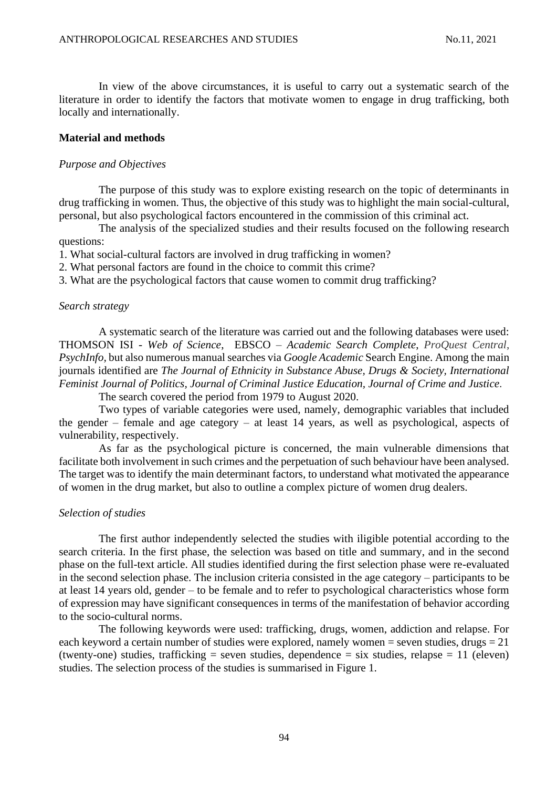In view of the above circumstances, it is useful to carry out a systematic search of the literature in order to identify the factors that motivate women to engage in drug trafficking, both locally and internationally.

#### **Material and methods**

#### *Purpose and Objectives*

The purpose of this study was to explore existing research on the topic of determinants in drug trafficking in women. Thus, the objective of this study was to highlight the main social-cultural, personal, but also psychological factors encountered in the commission of this criminal act.

The analysis of the specialized studies and their results focused on the following research questions:

1. What social-cultural factors are involved in drug trafficking in women?

2. What personal factors are found in the choice to commit this crime?

3. What are the psychological factors that cause women to commit drug trafficking?

#### *Search strategy*

A systematic search of the literature was carried out and the following databases were used: THOMSON ISI - *Web of Science*, EBSCO – *[Academic](http://search.ebscohost.com/) Search Complete*, *ProQuest Central*, *PsychInfo,* but also numerous manual searches via *Google Academic* Search Engine. Among the main journals identified are *The Journal of Ethnicity in Substance Abuse, Drugs & Society, International Feminist Journal of Politics, Journal of Criminal Justice Education, Journal of Crime and Justice*.

The search covered the period from 1979 to August 2020.

Two types of variable categories were used, namely, demographic variables that included the gender – female and age category – at least 14 years, as well as psychological, aspects of vulnerability, respectively.

As far as the psychological picture is concerned, the main vulnerable dimensions that facilitate both involvement in such crimes and the perpetuation of such behaviour have been analysed. The target was to identify the main determinant factors, to understand what motivated the appearance of women in the drug market, but also to outline a complex picture of women drug dealers.

#### *Selection of studies*

The first author independently selected the studies with iligible potential according to the search criteria. In the first phase, the selection was based on title and summary, and in the second phase on the full-text article. All studies identified during the first selection phase were re-evaluated in the second selection phase. The inclusion criteria consisted in the age category – participants to be at least 14 years old, gender – to be female and to refer to psychological characteristics whose form of expression may have significant consequences in terms of the manifestation of behavior according to the socio-cultural norms.

The following keywords were used: trafficking, drugs, women, addiction and relapse. For each keyword a certain number of studies were explored, namely women = seven studies, drugs = 21 (twenty-one) studies, trafficking = seven studies, dependence = six studies, relapse = 11 (eleven) studies. The selection process of the studies is summarised in Figure 1.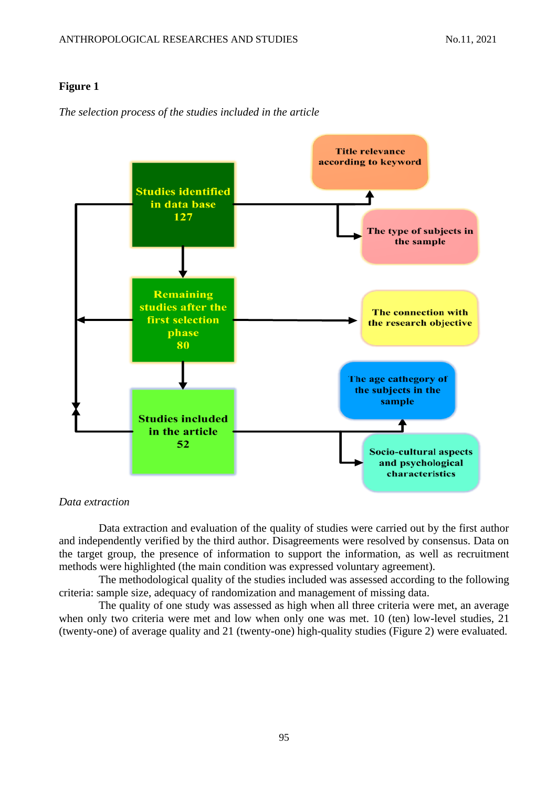*The selection process of the studies included in the article*



*Data extraction*

Data extraction and evaluation of the quality of studies were carried out by the first author and independently verified by the third author. Disagreements were resolved by consensus. Data on the target group, the presence of information to support the information, as well as recruitment methods were highlighted (the main condition was expressed voluntary agreement).

The methodological quality of the studies included was assessed according to the following criteria: sample size, adequacy of randomization and management of missing data.

The quality of one study was assessed as high when all three criteria were met, an average when only two criteria were met and low when only one was met. 10 (ten) low-level studies, 21 (twenty-one) of average quality and 21 (twenty-one) high-quality studies (Figure 2) were evaluated.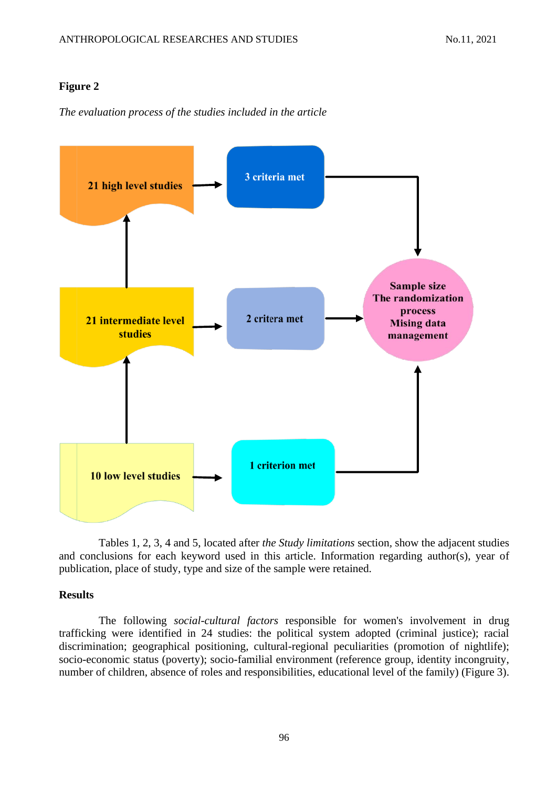*The evaluation process of the studies included in the article*



Tables 1, 2, 3, 4 and 5, located after *the Study limitations* section*,* show the adjacent studies and conclusions for each keyword used in this article. Information regarding author(s), year of publication, place of study, type and size of the sample were retained.

#### **Results**

The following *social-cultural factors* responsible for women's involvement in drug trafficking were identified in 24 studies: the political system adopted (criminal justice); racial discrimination; geographical positioning, cultural-regional peculiarities (promotion of nightlife); socio-economic status (poverty); socio-familial environment (reference group, identity incongruity, number of children, absence of roles and responsibilities, educational level of the family) (Figure 3).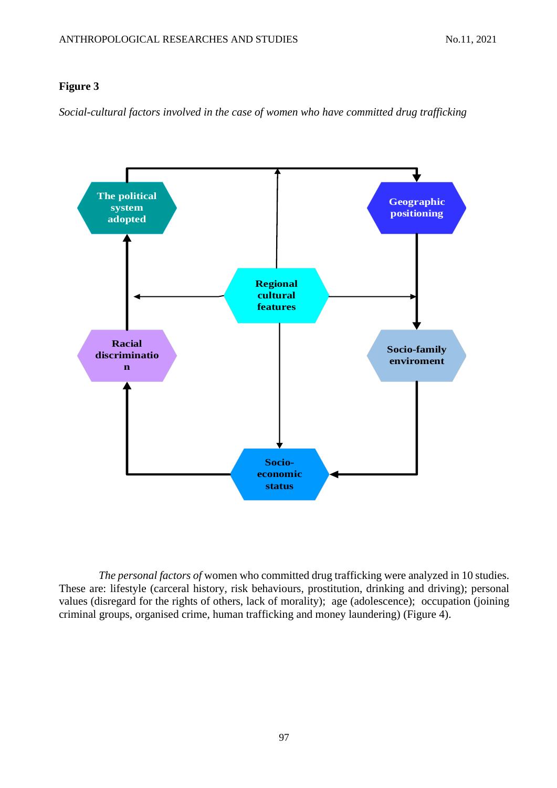*Social-cultural factors involved in the case of women who have committed drug trafficking*



*The personal factors of* women who committed drug trafficking were analyzed in 10 studies. These are: lifestyle (carceral history, risk behaviours, prostitution, drinking and driving); personal values (disregard for the rights of others, lack of morality); age (adolescence); occupation (joining criminal groups, organised crime, human trafficking and money laundering) (Figure 4).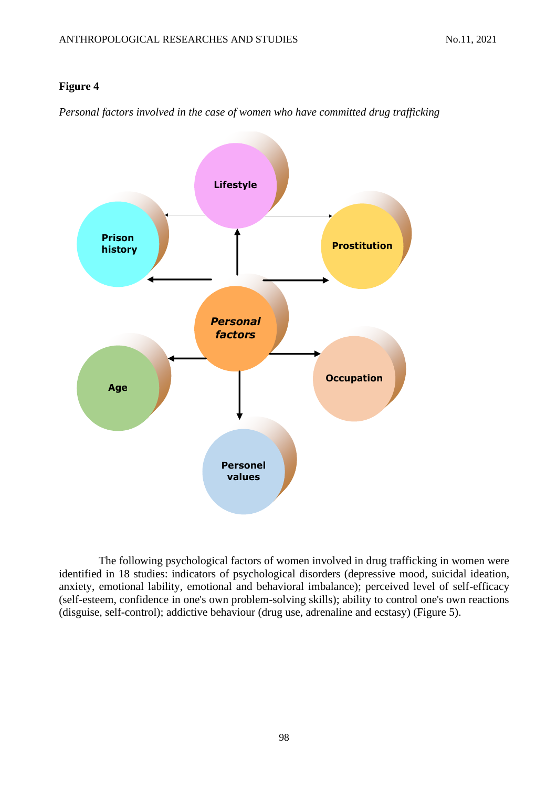*Personal factors involved in the case of women who have committed drug trafficking*



The following psychological factors of women involved in drug trafficking in women were identified in 18 studies: indicators of psychological disorders (depressive mood, suicidal ideation, anxiety, emotional lability, emotional and behavioral imbalance); perceived level of self-efficacy (self-esteem, confidence in one's own problem-solving skills); ability to control one's own reactions (disguise, self-control); addictive behaviour (drug use, adrenaline and ecstasy) (Figure 5).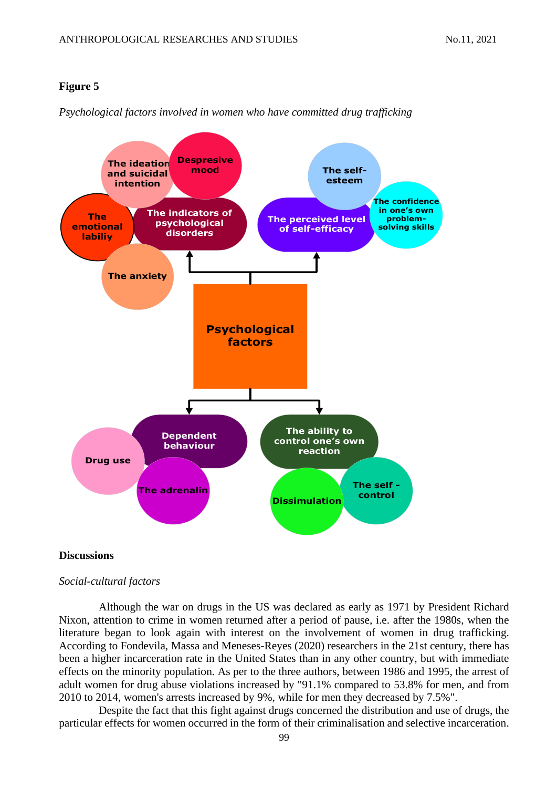

*Psychological factors involved in women who have committed drug trafficking*

#### **Discussions**

#### *Social-cultural factors*

Although the war on drugs in the US was declared as early as 1971 by President Richard Nixon, attention to crime in women returned after a period of pause, i.e. after the 1980s, when the literature began to look again with interest on the involvement of women in drug trafficking. According to Fondevila, Massa and Meneses-Reyes (2020) researchers in the 21st century, there has been a higher incarceration rate in the United States than in any other country, but with immediate effects on the minority population. As per to the three authors, between 1986 and 1995, the arrest of adult women for drug abuse violations increased by "91.1% compared to 53.8% for men, and from 2010 to 2014, women's arrests increased by 9%, while for men they decreased by 7.5%".

Despite the fact that this fight against drugs concerned the distribution and use of drugs, the particular effects for women occurred in the form of their criminalisation and selective incarceration.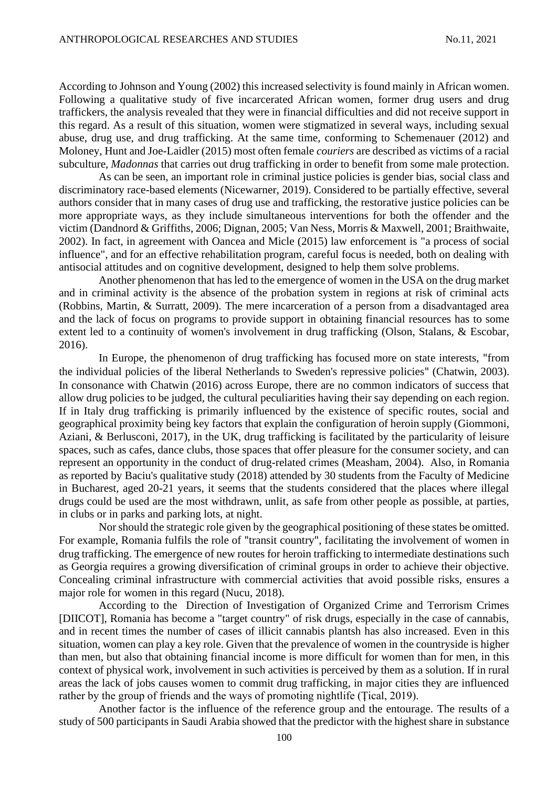According to Johnson and Young (2002) this increased selectivity is found mainly in African women. Following a qualitative study of five incarcerated African women, former drug users and drug traffickers, the analysis revealed that they were in financial difficulties and did not receive support in this regard. As a result of this situation, women were stigmatized in several ways, including sexual abuse, drug use, and drug trafficking. At the same time, conforming to Schemenauer (2012) and Moloney, Hunt and Joe-Laidler (2015) most often female *couriers* are described as victims of a racial subculture, *Madonnas* that carries out drug trafficking in order to benefit from some male protection.

As can be seen, an important role in criminal justice policies is gender bias, social class and discriminatory race-based elements (Nicewarner, 2019). Considered to be partially effective, several authors consider that in many cases of drug use and trafficking, the restorative justice policies can be more appropriate ways, as they include simultaneous interventions for both the offender and the victim (Dandnord & Griffiths, 2006; Dignan, 2005; Van Ness, Morris & Maxwell, 2001; Braithwaite, 2002). In fact, in agreement with Oancea and Micle (2015) law enforcement is "a process of social influence", and for an effective rehabilitation program, careful focus is needed, both on dealing with antisocial attitudes and on cognitive development, designed to help them solve problems.

Another phenomenon that has led to the emergence of women in the USA on the drug market and in criminal activity is the absence of the probation system in regions at risk of criminal acts (Robbins, Martin, & Surratt, 2009). The mere incarceration of a person from a disadvantaged area and the lack of focus on programs to provide support in obtaining financial resources has to some extent led to a continuity of women's involvement in drug trafficking (Olson, Stalans, & Escobar, 2016).

In Europe, the phenomenon of drug trafficking has focused more on state interests, "from the individual policies of the liberal Netherlands to Sweden's repressive policies" (Chatwin, 2003). In consonance with Chatwin (2016) across Europe, there are no common indicators of success that allow drug policies to be judged, the cultural peculiarities having their say depending on each region. If in Italy drug trafficking is primarily influenced by the existence of specific routes, social and geographical proximity being key factors that explain the configuration of heroin supply (Giommoni, Aziani, & Berlusconi, 2017), in the UK, drug trafficking is facilitated by the particularity of leisure spaces, such as cafes, dance clubs, those spaces that offer pleasure for the consumer society, and can represent an opportunity in the conduct of drug-related crimes (Measham, 2004). Also, in Romania as reported by Baciu's qualitative study (2018) attended by 30 students from the Faculty of Medicine in Bucharest, aged 20-21 years, it seems that the students considered that the places where illegal drugs could be used are the most withdrawn, unlit, as safe from other people as possible, at parties, in clubs or in parks and parking lots, at night.

Nor should the strategic role given by the geographical positioning of these states be omitted. For example, Romania fulfils the role of "transit country", facilitating the involvement of women in drug trafficking. The emergence of new routes for heroin trafficking to intermediate destinations such as Georgia requires a growing diversification of criminal groups in order to achieve their objective. Concealing criminal infrastructure with commercial activities that avoid possible risks, ensures a major role for women in this regard (Nucu, 2018).

According to the Direction of Investigation of Organized Crime and Terrorism Crimes [DIICOT], Romania has become a "target country" of risk drugs, especially in the case of cannabis, and in recent times the number of cases of illicit cannabis plantsh has also increased. Even in this situation, women can play a key role. Given that the prevalence of women in the countryside is higher than men, but also that obtaining financial income is more difficult for women than for men, in this context of physical work, involvement in such activities is perceived by them as a solution. If in rural areas the lack of jobs causes women to commit drug trafficking, in major cities they are influenced rather by the group of friends and the ways of promoting nightlife (Tical, 2019).

Another factor is the influence of the reference group and the entourage. The results of a study of 500 participants in Saudi Arabia showed that the predictor with the highest share in substance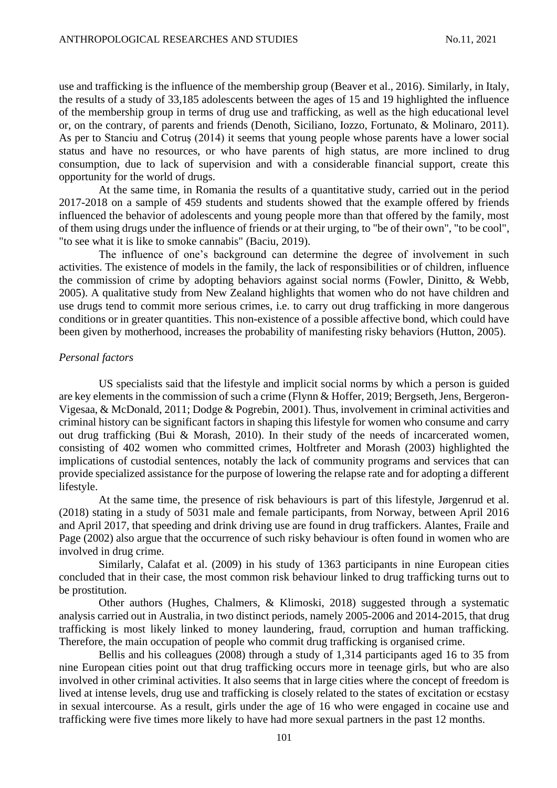use and trafficking is the influence of the membership group (Beaver et al., 2016). Similarly, in Italy, the results of a study of 33,185 adolescents between the ages of 15 and 19 highlighted the influence of the membership group in terms of drug use and trafficking, as well as the high educational level or, on the contrary, of parents and friends (Denoth, Siciliano, Iozzo, Fortunato, & Molinaro, 2011). As per to Stanciu and Cotruş (2014) it seems that young people whose parents have a lower social status and have no resources, or who have parents of high status, are more inclined to drug consumption, due to lack of supervision and with a considerable financial support, create this opportunity for the world of drugs.

At the same time, in Romania the results of a quantitative study, carried out in the period 2017-2018 on a sample of 459 students and students showed that the example offered by friends influenced the behavior of adolescents and young people more than that offered by the family, most of them using drugs under the influence of friends or at their urging, to "be of their own", "to be cool", "to see what it is like to smoke cannabis" (Baciu, 2019).

The influence of one's background can determine the degree of involvement in such activities. The existence of models in the family, the lack of responsibilities or of children, influence the commission of crime by adopting behaviors against social norms (Fowler, Dinitto, & Webb, 2005). A qualitative study from New Zealand highlights that women who do not have children and use drugs tend to commit more serious crimes, i.e. to carry out drug trafficking in more dangerous conditions or in greater quantities. This non-existence of a possible affective bond, which could have been given by motherhood, increases the probability of manifesting risky behaviors (Hutton, 2005).

#### *Personal factors*

US specialists said that the lifestyle and implicit social norms by which a person is guided are key elements in the commission of such a crime (Flynn & Hoffer, 2019; Bergseth, Jens, Bergeron-Vigesaa, & McDonald, 2011; Dodge & Pogrebin, 2001). Thus, involvement in criminal activities and criminal history can be significant factors in shaping this lifestyle for women who consume and carry out drug trafficking (Bui & Morash, 2010). In their study of the needs of incarcerated women, consisting of 402 women who committed crimes, Holtfreter and Morash (2003) highlighted the implications of custodial sentences, notably the lack of community programs and services that can provide specialized assistance for the purpose of lowering the relapse rate and for adopting a different lifestyle.

At the same time, the presence of risk behaviours is part of this lifestyle, Jørgenrud et al. (2018) stating in a study of 5031 male and female participants, from Norway, between April 2016 and April 2017, that speeding and drink driving use are found in drug traffickers. Alantes, Fraile and Page (2002) also argue that the occurrence of such risky behaviour is often found in women who are involved in drug crime.

Similarly, Calafat et al. (2009) in his study of 1363 participants in nine European cities concluded that in their case, the most common risk behaviour linked to drug trafficking turns out to be prostitution.

Other authors (Hughes, Chalmers, & Klimoski, 2018) suggested through a systematic analysis carried out in Australia, in two distinct periods, namely 2005-2006 and 2014-2015, that drug trafficking is most likely linked to money laundering, fraud, corruption and human trafficking. Therefore, the main occupation of people who commit drug trafficking is organised crime.

Bellis and his colleagues (2008) through a study of 1,314 participants aged 16 to 35 from nine European cities point out that drug trafficking occurs more in teenage girls, but who are also involved in other criminal activities. It also seems that in large cities where the concept of freedom is lived at intense levels, drug use and trafficking is closely related to the states of excitation or ecstasy in sexual intercourse. As a result, girls under the age of 16 who were engaged in cocaine use and trafficking were five times more likely to have had more sexual partners in the past 12 months.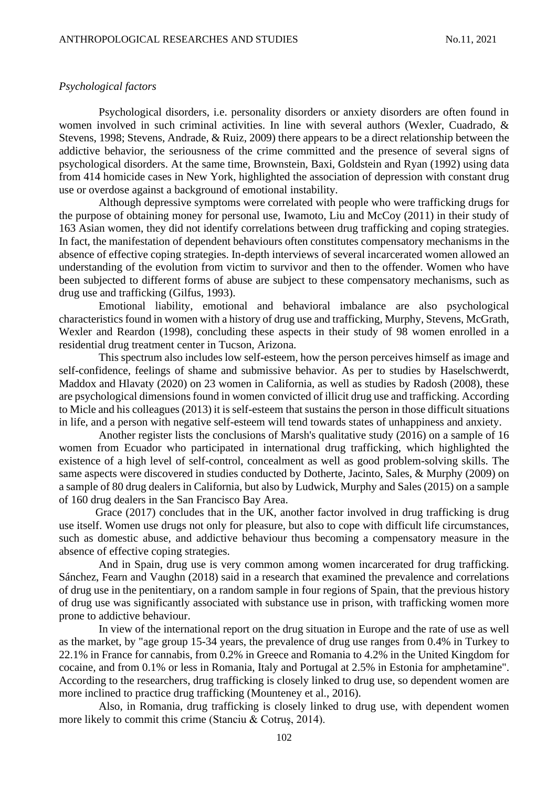#### *Psychological factors*

Psychological disorders, i.e. personality disorders or anxiety disorders are often found in women involved in such criminal activities. In line with several authors (Wexler, Cuadrado, & Stevens, 1998; Stevens, Andrade, & Ruiz, 2009) there appears to be a direct relationship between the addictive behavior, the seriousness of the crime committed and the presence of several signs of psychological disorders. At the same time, Brownstein, Baxi, Goldstein and Ryan (1992) using data from 414 homicide cases in New York, highlighted the association of depression with constant drug use or overdose against a background of emotional instability.

Although depressive symptoms were correlated with people who were trafficking drugs for the purpose of obtaining money for personal use, Iwamoto, Liu and McCoy (2011) in their study of 163 Asian women, they did not identify correlations between drug trafficking and coping strategies. In fact, the manifestation of dependent behaviours often constitutes compensatory mechanisms in the absence of effective coping strategies. In-depth interviews of several incarcerated women allowed an understanding of the evolution from victim to survivor and then to the offender. Women who have been subjected to different forms of abuse are subject to these compensatory mechanisms, such as drug use and trafficking (Gilfus, 1993).

Emotional liability, emotional and behavioral imbalance are also psychological characteristics found in women with a history of drug use and trafficking, Murphy, Stevens, McGrath, Wexler and Reardon (1998), concluding these aspects in their study of 98 women enrolled in a residential drug treatment center in Tucson, Arizona.

This spectrum also includes low self-esteem, how the person perceives himself as image and self-confidence, feelings of shame and submissive behavior. As per to studies by Haselschwerdt, Maddox and Hlavaty (2020) on 23 women in California, as well as studies by Radosh (2008), these are psychological dimensions found in women convicted of illicit drug use and trafficking. According to Micle and his colleagues (2013) it is self-esteem that sustains the person in those difficult situations in life, and a person with negative self-esteem will tend towards states of unhappiness and anxiety.

Another register lists the conclusions of Marsh's qualitative study (2016) on a sample of 16 women from Ecuador who participated in international drug trafficking, which highlighted the existence of a high level of self-control, concealment as well as good problem-solving skills. The same aspects were discovered in studies conducted by Dotherte, Jacinto, Sales, & Murphy (2009) on a sample of 80 drug dealers in California, but also by Ludwick, Murphy and Sales (2015) on a sample of 160 drug dealers in the San Francisco Bay Area.

Grace (2017) concludes that in the UK, another factor involved in drug trafficking is drug use itself. Women use drugs not only for pleasure, but also to cope with difficult life circumstances, such as domestic abuse, and addictive behaviour thus becoming a compensatory measure in the absence of effective coping strategies.

And in Spain, drug use is very common among women incarcerated for drug trafficking. Sánchez, Fearn and Vaughn (2018) said in a research that examined the prevalence and correlations of drug use in the penitentiary, on a random sample in four regions of Spain, that the previous history of drug use was significantly associated with substance use in prison, with trafficking women more prone to addictive behaviour.

In view of the international report on the drug situation in Europe and the rate of use as well as the market, by "age group 15-34 years, the prevalence of drug use ranges from 0.4% in Turkey to 22.1% in France for cannabis, from 0.2% in Greece and Romania to 4.2% in the United Kingdom for cocaine, and from 0.1% or less in Romania, Italy and Portugal at 2.5% in Estonia for amphetamine". According to the researchers, drug trafficking is closely linked to drug use, so dependent women are more inclined to practice drug trafficking (Mounteney et al., 2016).

Also, in Romania, drug trafficking is closely linked to drug use, with dependent women more likely to commit this crime (Stanciu & Cotruş, 2014).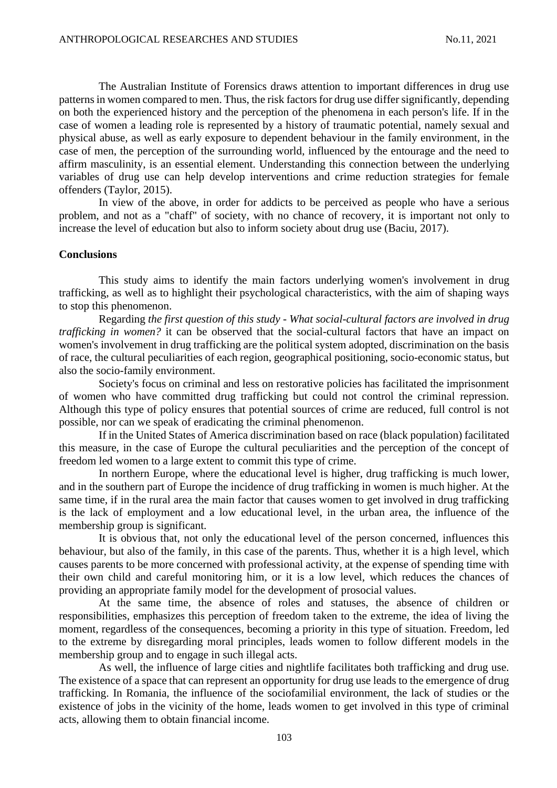The Australian Institute of Forensics draws attention to important differences in drug use patterns in women compared to men. Thus, the risk factors for drug use differ significantly, depending on both the experienced history and the perception of the phenomena in each person's life. If in the case of women a leading role is represented by a history of traumatic potential, namely sexual and physical abuse, as well as early exposure to dependent behaviour in the family environment, in the case of men, the perception of the surrounding world, influenced by the entourage and the need to affirm masculinity, is an essential element. Understanding this connection between the underlying variables of drug use can help develop interventions and crime reduction strategies for female offenders (Taylor, 2015).

In view of the above, in order for addicts to be perceived as people who have a serious problem, and not as a "chaff" of society, with no chance of recovery, it is important not only to increase the level of education but also to inform society about drug use (Baciu, 2017).

#### **Conclusions**

This study aims to identify the main factors underlying women's involvement in drug trafficking, as well as to highlight their psychological characteristics, with the aim of shaping ways to stop this phenomenon.

Regarding *the first question of this study - What social-cultural factors are involved in drug trafficking in women?* it can be observed that the social-cultural factors that have an impact on women's involvement in drug trafficking are the political system adopted, discrimination on the basis of race, the cultural peculiarities of each region, geographical positioning, socio-economic status, but also the socio-family environment.

Society's focus on criminal and less on restorative policies has facilitated the imprisonment of women who have committed drug trafficking but could not control the criminal repression. Although this type of policy ensures that potential sources of crime are reduced, full control is not possible, nor can we speak of eradicating the criminal phenomenon.

If in the United States of America discrimination based on race (black population) facilitated this measure, in the case of Europe the cultural peculiarities and the perception of the concept of freedom led women to a large extent to commit this type of crime.

In northern Europe, where the educational level is higher, drug trafficking is much lower, and in the southern part of Europe the incidence of drug trafficking in women is much higher. At the same time, if in the rural area the main factor that causes women to get involved in drug trafficking is the lack of employment and a low educational level, in the urban area, the influence of the membership group is significant.

It is obvious that, not only the educational level of the person concerned, influences this behaviour, but also of the family, in this case of the parents. Thus, whether it is a high level, which causes parents to be more concerned with professional activity, at the expense of spending time with their own child and careful monitoring him, or it is a low level, which reduces the chances of providing an appropriate family model for the development of prosocial values.

At the same time, the absence of roles and statuses, the absence of children or responsibilities, emphasizes this perception of freedom taken to the extreme, the idea of living the moment, regardless of the consequences, becoming a priority in this type of situation. Freedom, led to the extreme by disregarding moral principles, leads women to follow different models in the membership group and to engage in such illegal acts.

As well, the influence of large cities and nightlife facilitates both trafficking and drug use. The existence of a space that can represent an opportunity for drug use leads to the emergence of drug trafficking. In Romania, the influence of the sociofamilial environment, the lack of studies or the existence of jobs in the vicinity of the home, leads women to get involved in this type of criminal acts, allowing them to obtain financial income.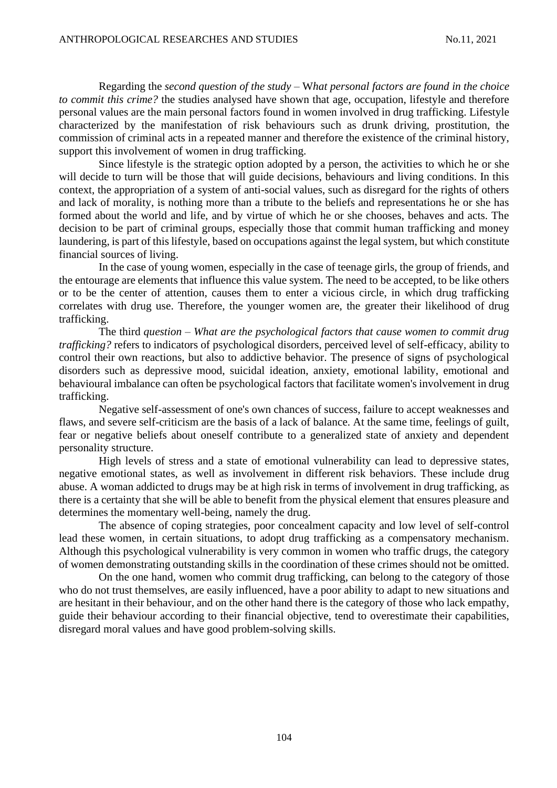Regarding the *second question of the study* – W*hat personal factors are found in the choice to commit this crime?* the studies analysed have shown that age, occupation, lifestyle and therefore personal values are the main personal factors found in women involved in drug trafficking. Lifestyle characterized by the manifestation of risk behaviours such as drunk driving, prostitution, the commission of criminal acts in a repeated manner and therefore the existence of the criminal history, support this involvement of women in drug trafficking.

Since lifestyle is the strategic option adopted by a person, the activities to which he or she will decide to turn will be those that will guide decisions, behaviours and living conditions. In this context, the appropriation of a system of anti-social values, such as disregard for the rights of others and lack of morality, is nothing more than a tribute to the beliefs and representations he or she has formed about the world and life, and by virtue of which he or she chooses, behaves and acts. The decision to be part of criminal groups, especially those that commit human trafficking and money laundering, is part of this lifestyle, based on occupations against the legal system, but which constitute financial sources of living.

In the case of young women, especially in the case of teenage girls, the group of friends, and the entourage are elements that influence this value system. The need to be accepted, to be like others or to be the center of attention, causes them to enter a vicious circle, in which drug trafficking correlates with drug use. Therefore, the younger women are, the greater their likelihood of drug trafficking.

The third *question* – *What are the psychological factors that cause women to commit drug trafficking?* refers to indicators of psychological disorders, perceived level of self-efficacy, ability to control their own reactions, but also to addictive behavior. The presence of signs of psychological disorders such as depressive mood, suicidal ideation, anxiety, emotional lability, emotional and behavioural imbalance can often be psychological factors that facilitate women's involvement in drug trafficking.

Negative self-assessment of one's own chances of success, failure to accept weaknesses and flaws, and severe self-criticism are the basis of a lack of balance. At the same time, feelings of guilt, fear or negative beliefs about oneself contribute to a generalized state of anxiety and dependent personality structure.

High levels of stress and a state of emotional vulnerability can lead to depressive states, negative emotional states, as well as involvement in different risk behaviors. These include drug abuse. A woman addicted to drugs may be at high risk in terms of involvement in drug trafficking, as there is a certainty that she will be able to benefit from the physical element that ensures pleasure and determines the momentary well-being, namely the drug.

The absence of coping strategies, poor concealment capacity and low level of self-control lead these women, in certain situations, to adopt drug trafficking as a compensatory mechanism. Although this psychological vulnerability is very common in women who traffic drugs, the category of women demonstrating outstanding skills in the coordination of these crimes should not be omitted.

On the one hand, women who commit drug trafficking, can belong to the category of those who do not trust themselves, are easily influenced, have a poor ability to adapt to new situations and are hesitant in their behaviour, and on the other hand there is the category of those who lack empathy, guide their behaviour according to their financial objective, tend to overestimate their capabilities, disregard moral values and have good problem-solving skills.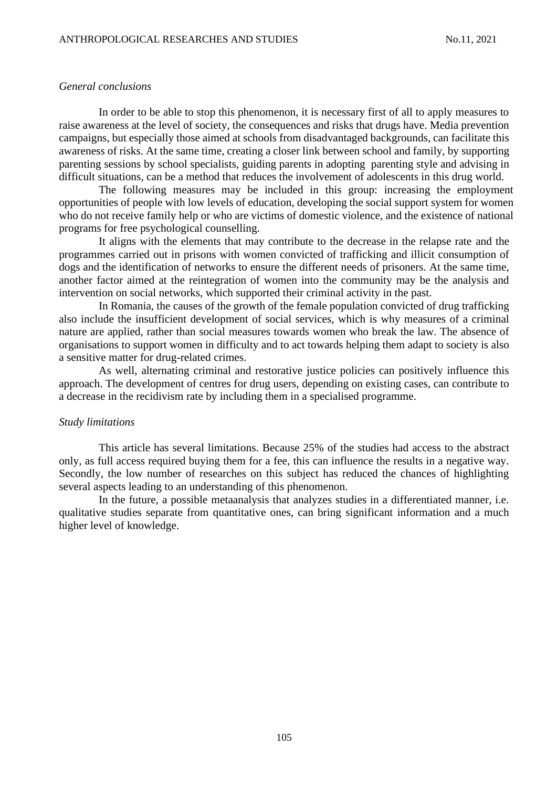#### *General conclusions*

In order to be able to stop this phenomenon, it is necessary first of all to apply measures to raise awareness at the level of society, the consequences and risks that drugs have. Media prevention campaigns, but especially those aimed at schools from disadvantaged backgrounds, can facilitate this awareness of risks. At the same time, creating a closer link between school and family, by supporting parenting sessions by school specialists, guiding parents in adopting parenting style and advising in difficult situations, can be a method that reduces the involvement of adolescents in this drug world.

The following measures may be included in this group: increasing the employment opportunities of people with low levels of education, developing the social support system for women who do not receive family help or who are victims of domestic violence, and the existence of national programs for free psychological counselling.

It aligns with the elements that may contribute to the decrease in the relapse rate and the programmes carried out in prisons with women convicted of trafficking and illicit consumption of dogs and the identification of networks to ensure the different needs of prisoners. At the same time, another factor aimed at the reintegration of women into the community may be the analysis and intervention on social networks, which supported their criminal activity in the past.

In Romania, the causes of the growth of the female population convicted of drug trafficking also include the insufficient development of social services, which is why measures of a criminal nature are applied, rather than social measures towards women who break the law. The absence of organisations to support women in difficulty and to act towards helping them adapt to society is also a sensitive matter for drug-related crimes.

As well, alternating criminal and restorative justice policies can positively influence this approach. The development of centres for drug users, depending on existing cases, can contribute to a decrease in the recidivism rate by including them in a specialised programme.

#### *Study limitations*

This article has several limitations. Because 25% of the studies had access to the abstract only, as full access required buying them for a fee, this can influence the results in a negative way. Secondly, the low number of researches on this subject has reduced the chances of highlighting several aspects leading to an understanding of this phenomenon.

In the future, a possible metaanalysis that analyzes studies in a differentiated manner, i.e. qualitative studies separate from quantitative ones, can bring significant information and a much higher level of knowledge.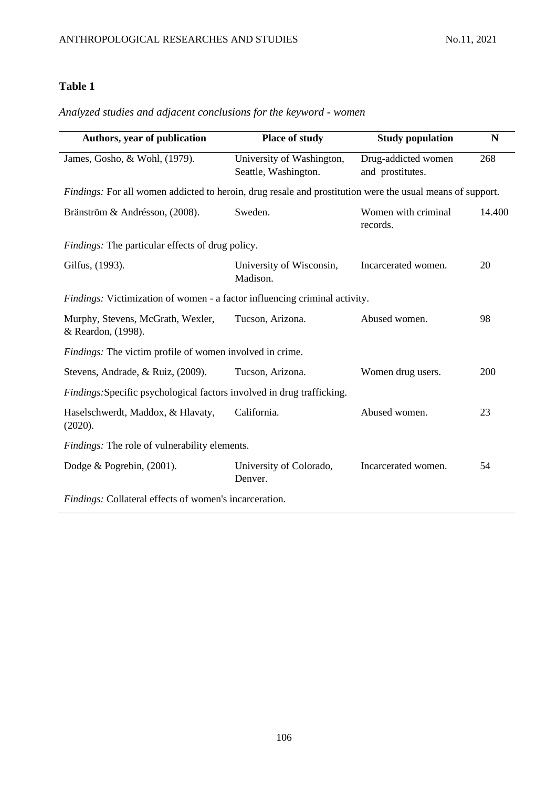# *Analyzed studies and adjacent conclusions for the keyword - women*

| Authors, year of publication                                                                              | <b>Place of study</b>                             | <b>Study population</b>                 | N      |
|-----------------------------------------------------------------------------------------------------------|---------------------------------------------------|-----------------------------------------|--------|
| James, Gosho, & Wohl, (1979).                                                                             | University of Washington,<br>Seattle, Washington. | Drug-addicted women<br>and prostitutes. | 268    |
| Findings: For all women addicted to heroin, drug resale and prostitution were the usual means of support. |                                                   |                                         |        |
| Bränström & Andrésson, (2008).                                                                            | Sweden.                                           | Women with criminal<br>records.         | 14.400 |
| Findings: The particular effects of drug policy.                                                          |                                                   |                                         |        |
| Gilfus, (1993).                                                                                           | University of Wisconsin,<br>Madison.              | Incarcerated women.                     | 20     |
| Findings: Victimization of women - a factor influencing criminal activity.                                |                                                   |                                         |        |
| Murphy, Stevens, McGrath, Wexler,<br>& Reardon, (1998).                                                   | Tucson, Arizona.                                  | Abused women.                           | 98     |
| <i>Findings:</i> The victim profile of women involved in crime.                                           |                                                   |                                         |        |
| Stevens, Andrade, & Ruiz, (2009).                                                                         | Tucson, Arizona.                                  | Women drug users.                       | 200    |
| Findings: Specific psychological factors involved in drug trafficking.                                    |                                                   |                                         |        |
| Haselschwerdt, Maddox, & Hlavaty,<br>(2020).                                                              | California.                                       | Abused women.                           | 23     |
| Findings: The role of vulnerability elements.                                                             |                                                   |                                         |        |
| Dodge & Pogrebin, (2001).                                                                                 | University of Colorado,<br>Denver.                | Incarcerated women.                     | 54     |
| Findings: Collateral effects of women's incarceration.                                                    |                                                   |                                         |        |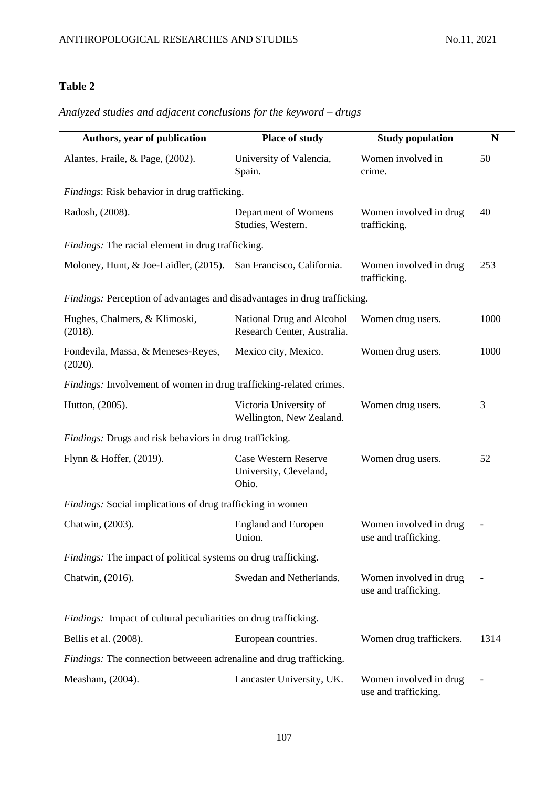# *Analyzed studies and adjacent conclusions for the keyword – drugs*

| Authors, year of publication                                              | Place of study                                                 | <b>Study population</b>                        | N    |
|---------------------------------------------------------------------------|----------------------------------------------------------------|------------------------------------------------|------|
| Alantes, Fraile, & Page, (2002).                                          | University of Valencia,<br>Spain.                              | Women involved in<br>crime.                    | 50   |
| Findings: Risk behavior in drug trafficking.                              |                                                                |                                                |      |
| Radosh, (2008).                                                           | Department of Womens<br>Studies, Western.                      | Women involved in drug<br>trafficking.         | 40   |
| Findings: The racial element in drug trafficking.                         |                                                                |                                                |      |
| Moloney, Hunt, & Joe-Laidler, (2015).                                     | San Francisco, California.                                     | Women involved in drug<br>trafficking.         | 253  |
| Findings: Perception of advantages and disadvantages in drug trafficking. |                                                                |                                                |      |
| Hughes, Chalmers, & Klimoski,<br>(2018).                                  | National Drug and Alcohol<br>Research Center, Australia.       | Women drug users.                              | 1000 |
| Fondevila, Massa, & Meneses-Reyes,<br>(2020).                             | Mexico city, Mexico.                                           | Women drug users.                              | 1000 |
| Findings: Involvement of women in drug trafficking-related crimes.        |                                                                |                                                |      |
| Hutton, (2005).                                                           | Victoria University of<br>Wellington, New Zealand.             | Women drug users.                              | 3    |
| <i>Findings:</i> Drugs and risk behaviors in drug trafficking.            |                                                                |                                                |      |
| Flynn & Hoffer, (2019).                                                   | <b>Case Western Reserve</b><br>University, Cleveland,<br>Ohio. | Women drug users.                              | 52   |
| Findings: Social implications of drug trafficking in women                |                                                                |                                                |      |
| Chatwin, (2003).                                                          | <b>England and Europen</b><br>Union.                           | Women involved in drug<br>use and trafficking. |      |
| <i>Findings:</i> The impact of political systems on drug trafficking.     |                                                                |                                                |      |
| Chatwin, (2016).                                                          | Swedan and Netherlands.                                        | Women involved in drug<br>use and trafficking. |      |
| Findings: Impact of cultural peculiarities on drug trafficking.           |                                                                |                                                |      |
| Bellis et al. (2008).                                                     | European countries.                                            | Women drug traffickers.                        | 1314 |
| <i>Findings:</i> The connection betweeen adrenaline and drug trafficking. |                                                                |                                                |      |
| Measham, (2004).                                                          | Lancaster University, UK.                                      | Women involved in drug<br>use and trafficking. |      |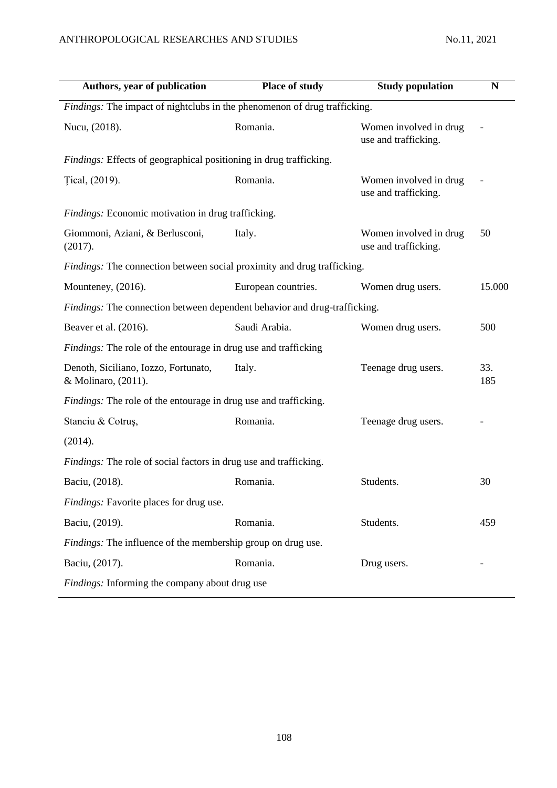| Authors, year of publication                                              | Place of study      | <b>Study population</b>                        | N          |
|---------------------------------------------------------------------------|---------------------|------------------------------------------------|------------|
| Findings: The impact of nightclubs in the phenomenon of drug trafficking. |                     |                                                |            |
| Nucu, (2018).                                                             | Romania.            | Women involved in drug<br>use and trafficking. |            |
| <i>Findings:</i> Effects of geographical positioning in drug trafficking. |                     |                                                |            |
| Tical, (2019).                                                            | Romania.            | Women involved in drug<br>use and trafficking. |            |
| Findings: Economic motivation in drug trafficking.                        |                     |                                                |            |
| Giommoni, Aziani, & Berlusconi,<br>(2017).                                | Italy.              | Women involved in drug<br>use and trafficking. | 50         |
| Findings: The connection between social proximity and drug trafficking.   |                     |                                                |            |
| Mounteney, (2016).                                                        | European countries. | Women drug users.                              | 15.000     |
| Findings: The connection between dependent behavior and drug-trafficking. |                     |                                                |            |
| Beaver et al. (2016).                                                     | Saudi Arabia.       | Women drug users.                              | 500        |
| <i>Findings:</i> The role of the entourage in drug use and trafficking    |                     |                                                |            |
| Denoth, Siciliano, Iozzo, Fortunato,<br>& Molinaro, (2011).               | Italy.              | Teenage drug users.                            | 33.<br>185 |
| Findings: The role of the entourage in drug use and trafficking.          |                     |                                                |            |
| Stanciu & Cotruș,                                                         | Romania.            | Teenage drug users.                            |            |
| (2014).                                                                   |                     |                                                |            |
| <i>Findings:</i> The role of social factors in drug use and trafficking.  |                     |                                                |            |
| Baciu, (2018).                                                            | Romania.            | Students.                                      | 30         |
| Findings: Favorite places for drug use.                                   |                     |                                                |            |
| Baciu, (2019).                                                            | Romania.            | Students.                                      | 459        |
| Findings: The influence of the membership group on drug use.              |                     |                                                |            |
| Baciu, (2017).                                                            | Romania.            | Drug users.                                    |            |
| Findings: Informing the company about drug use                            |                     |                                                |            |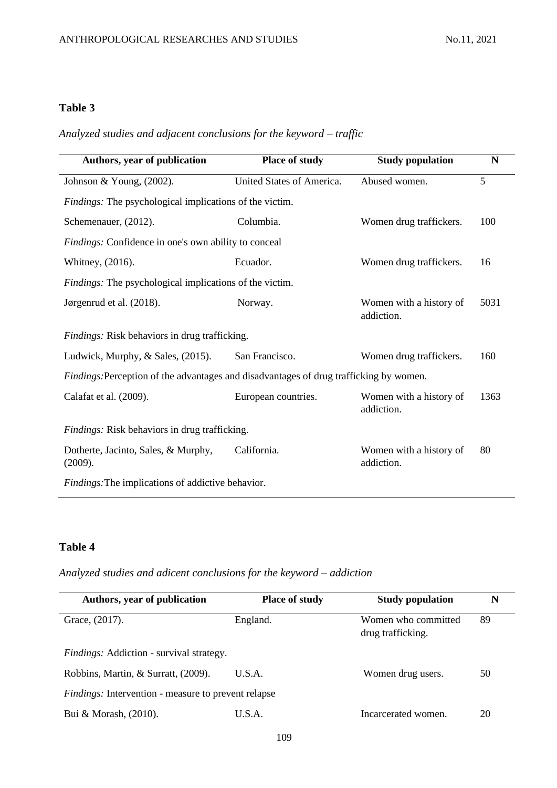*Analyzed studies and adjacent conclusions for the keyword – traffic*

| Authors, year of publication                                                                  | Place of study            | <b>Study population</b>               | N    |
|-----------------------------------------------------------------------------------------------|---------------------------|---------------------------------------|------|
| Johnson & Young, $(2002)$ .                                                                   | United States of America. | Abused women.                         | 5    |
| <i>Findings:</i> The psychological implications of the victim.                                |                           |                                       |      |
| Schemenauer, (2012).                                                                          | Columbia.                 | Women drug traffickers.               | 100  |
| <i>Findings:</i> Confidence in one's own ability to conceal                                   |                           |                                       |      |
| Whitney, (2016).                                                                              | Ecuador.                  | Women drug traffickers.               | 16   |
| <i>Findings:</i> The psychological implications of the victim.                                |                           |                                       |      |
| Jørgenrud et al. (2018).                                                                      | Norway.                   | Women with a history of<br>addiction. | 5031 |
| Findings: Risk behaviors in drug trafficking.                                                 |                           |                                       |      |
| Ludwick, Murphy, & Sales, (2015).                                                             | San Francisco.            | Women drug traffickers.               | 160  |
| <i>Findings:</i> Perception of the advantages and disadvantages of drug trafficking by women. |                           |                                       |      |
| Calafat et al. (2009).                                                                        | European countries.       | Women with a history of<br>addiction. | 1363 |
| Findings: Risk behaviors in drug trafficking.                                                 |                           |                                       |      |
| Dotherte, Jacinto, Sales, & Murphy,<br>(2009).                                                | California.               | Women with a history of<br>addiction. | 80   |
| Findings: The implications of addictive behavior.                                             |                           |                                       |      |

## **Table 4**

*Analyzed studies and adicent conclusions for the keyword – addiction*

| Authors, year of publication                               | <b>Place of study</b> | <b>Study population</b>                  | N  |
|------------------------------------------------------------|-----------------------|------------------------------------------|----|
| Grace, $(2017)$ .                                          | England.              | Women who committed<br>drug trafficking. | 89 |
| Findings: Addiction - survival strategy.                   |                       |                                          |    |
| Robbins, Martin, & Surratt, (2009).                        | U.S.A.                | Women drug users.                        | 50 |
| <i>Findings:</i> Intervention - measure to prevent relapse |                       |                                          |    |
| Bui & Morash, (2010).                                      | U.S.A.                | Incarcerated women.                      | 20 |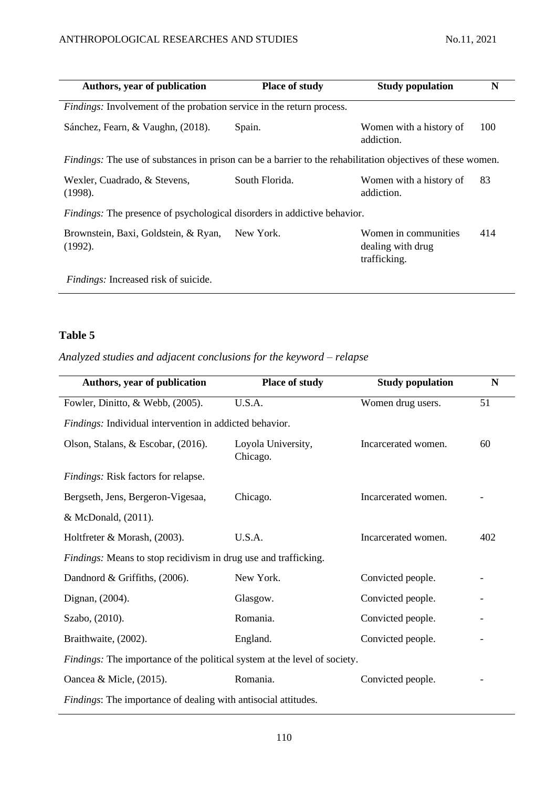| Authors, year of publication                                                                                       | <b>Place of study</b> | <b>Study population</b>                                   | N   |
|--------------------------------------------------------------------------------------------------------------------|-----------------------|-----------------------------------------------------------|-----|
| Findings: Involvement of the probation service in the return process.                                              |                       |                                                           |     |
| Sánchez, Fearn, & Vaughn, (2018).                                                                                  | Spain.                | Women with a history of<br>addiction.                     | 100 |
| <i>Findings:</i> The use of substances in prison can be a barrier to the rehabilitation objectives of these women. |                       |                                                           |     |
| Wexler, Cuadrado, & Stevens,<br>(1998).                                                                            | South Florida.        | Women with a history of<br>addiction.                     | 83  |
| <i>Findings:</i> The presence of psychological disorders in addictive behavior.                                    |                       |                                                           |     |
| Brownstein, Baxi, Goldstein, & Ryan,<br>$(1992)$ .                                                                 | New York.             | Women in communities<br>dealing with drug<br>trafficking. | 414 |
| <i>Findings:</i> Increased risk of suicide.                                                                        |                       |                                                           |     |

# *Analyzed studies and adjacent conclusions for the keyword – relapse*

| Authors, year of publication                                              | Place of study                 | <b>Study population</b> | N   |
|---------------------------------------------------------------------------|--------------------------------|-------------------------|-----|
| Fowler, Dinitto, & Webb, (2005).                                          | U.S.A.                         | Women drug users.       | 51  |
| Findings: Individual intervention in addicted behavior.                   |                                |                         |     |
| Olson, Stalans, & Escobar, (2016).                                        | Loyola University,<br>Chicago. | Incarcerated women.     | 60  |
| Findings: Risk factors for relapse.                                       |                                |                         |     |
| Bergseth, Jens, Bergeron-Vigesaa,                                         | Chicago.                       | Incarcerated women.     |     |
| & McDonald, (2011).                                                       |                                |                         |     |
| Holtfreter & Morash, (2003).                                              | U.S.A.                         | Incarcerated women.     | 402 |
| <i>Findings:</i> Means to stop recidivism in drug use and trafficking.    |                                |                         |     |
| Dandnord & Griffiths, (2006).                                             | New York.                      | Convicted people.       |     |
| Dignan, (2004).                                                           | Glasgow.                       | Convicted people.       |     |
| Szabo, (2010).                                                            | Romania.                       | Convicted people.       |     |
| Braithwaite, (2002).                                                      | England.                       | Convicted people.       |     |
| Findings: The importance of the political system at the level of society. |                                |                         |     |
| Oancea & Micle, (2015).                                                   | Romania.                       | Convicted people.       |     |
| <i>Findings</i> : The importance of dealing with antisocial attitudes.    |                                |                         |     |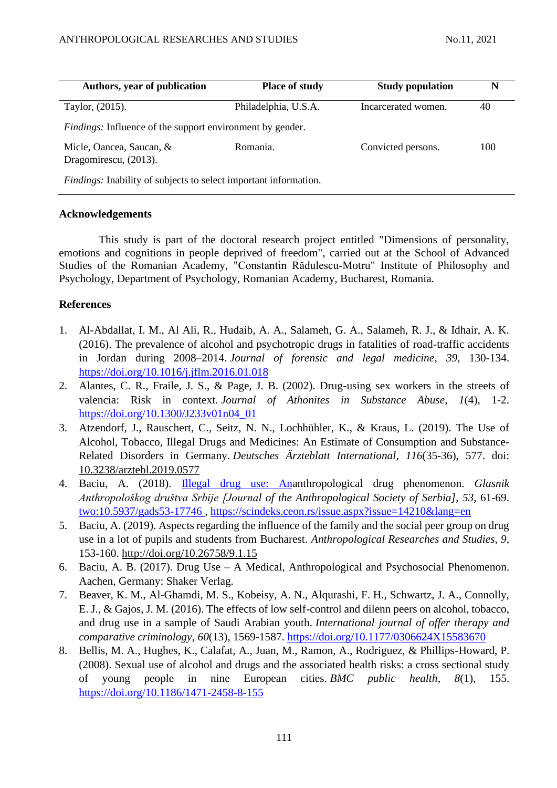| Authors, year of publication                                            | <b>Place of study</b> | <b>Study population</b> | N   |
|-------------------------------------------------------------------------|-----------------------|-------------------------|-----|
| Taylor, (2015).                                                         | Philadelphia, U.S.A.  | Incarcerated women.     | 40  |
| <i>Findings:</i> Influence of the support environment by gender.        |                       |                         |     |
| Micle, Oancea, Saucan, &<br>Dragomirescu, (2013).                       | Romania.              | Convicted persons.      | 100 |
| <i>Findings:</i> Inability of subjects to select important information. |                       |                         |     |

#### **Acknowledgements**

This study is part of the doctoral research project entitled "Dimensions of personality, emotions and cognitions in people deprived of freedom", carried out at the School of Advanced Studies of the Romanian Academy, "Constantin Rădulescu-Motru" Institute of Philosophy and Psychology, Department of Psychology, Romanian Academy, Bucharest, Romania.

#### **References**

- 1. Al-Abdallat, I. M., Al Ali, R., Hudaib, A. A., Salameh, G. A., Salameh, R. J., & Idhair, A. K. (2016). The prevalence of alcohol and psychotropic drugs in fatalities of road-traffic accidents in Jordan during 2008–2014. *Journal of forensic and legal medicine*, *39*, 130-134. <https://doi.org/10.1016/j.jflm.2016.01.018>
- 2. Alantes, C. R., Fraile, J. S., & Page, J. B. (2002). Drug-using sex workers in the streets of valencia: Risk in context. *Journal of Athonites in Substance Abuse*, *1*(4), 1-2. [https://doi.org/10.1300/J233v01n04\\_01](https://doi.org/10.1300/J233v01n04_01)
- 3. Atzendorf, J., Rauschert, C., Seitz, N. N., Lochhühler, K., & Kraus, L. (2019). The Use of Alcohol, Tobacco, Illegal Drugs and Medicines: An Estimate of Consumption and Substance-Related Disorders in Germany. *Deutsches Ärzteblatt International*, *116*(35-36), 577. doi: [10.3238/arztebl.2019.0577](https://dx.doi.org/10.3238%2Farztebl.2019.0577)
- 4. Baciu, A. (2018). [Illegal drug use: Ana](https://scindeks.ceon.rs/article.aspx?query=ISSID%26and%2614210&page=7&sort=8&stype=0&backurl=%2fissue.aspx%3fissue%3d14210%26lang%3den&lang=en)nthropological drug phenomenon. *Glasnik Anthropološkog društva Srbije [Journal of the Anthropological Society of Serbia]*, *53,* 61-69. [two:10.5937/gads53-17746 ,](https://doi.org/10.5937/gads53-17746)<https://scindeks.ceon.rs/issue.aspx?issue=14210&lang=en>
- 5. Baciu, A. (2019). Aspects regarding the influence of the family and the social peer group on drug use in a lot of pupils and students from Bucharest. *Anthropological Researches and Studies, 9,* 153-160. http://doi.org/10.26758/9.1.15
- 6. Baciu, A. B. (2017). Drug Use A Medical, Anthropological and Psychosocial Phenomenon. Aachen, Germany: Shaker Verlag.
- 7. Beaver, K. M., Al-Ghamdi, M. S., Kobeisy, A. N., Alqurashi, F. H., Schwartz, J. A., Connolly, E. J., & Gajos, J. M. (2016). The effects of low self-control and dilenn peers on alcohol, tobacco, and drug use in a sample of Saudi Arabian youth. *International journal of offer therapy and comparative criminology*, *60*(13), 1569-1587. [https://doi.org/10.1177/0306624X15583670](https://doi.org/10.1177%2F0306624X15583670)
- 8. Bellis, M. A., Hughes, K., Calafat, A., Juan, M., Ramon, A., Rodriguez, & Phillips-Howard, P. (2008). Sexual use of alcohol and drugs and the associated health risks: a cross sectional study of young people in nine European cities. *BMC public health*, *8*(1), 155. <https://doi.org/10.1186/1471-2458-8-155>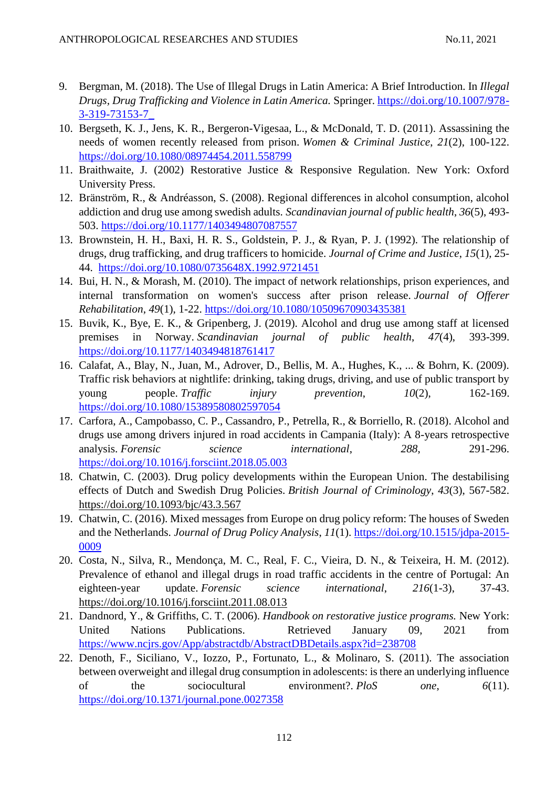- 9. Bergman, M. (2018). The Use of Illegal Drugs in Latin America: A Brief Introduction. In *Illegal Drugs, Drug Trafficking and Violence in Latin America.* Springer. [https://doi.org/10.1007/978-](https://doi.org/10.1007/978-3-319-73153-7_) [3-319-73153-7\\_](https://doi.org/10.1007/978-3-319-73153-7_)
- 10. Bergseth, K. J., Jens, K. R., Bergeron-Vigesaa, L., & McDonald, T. D. (2011). Assassining the needs of women recently released from prison. *Women & Criminal Justice*, *21*(2), 100-122. <https://doi.org/10.1080/08974454.2011.558799>
- 11. Braithwaite, J. (2002) Restorative Justice & Responsive Regulation. New York: Oxford University Press.
- 12. Bränström, R., & Andréasson, S. (2008). Regional differences in alcohol consumption, alcohol addiction and drug use among swedish adults. *Scandinavian journal of public health*, *36*(5), 493- 503. [https://doi.org/10.1177/1403494807087557](https://doi.org/10.1177%2F1403494807087557)
- 13. Brownstein, H. H., Baxi, H. R. S., Goldstein, P. J., & Ryan, P. J. (1992). The relationship of drugs, drug trafficking, and drug trafficers to homicide. *Journal of Crime and Justice*, *15*(1), 25- 44. <https://doi.org/10.1080/0735648X.1992.9721451>
- 14. Bui, H. N., & Morash, M. (2010). The impact of network relationships, prison experiences, and internal transformation on women's success after prison release. *Journal of Offerer Rehabilitation*, *49*(1), 1-22.<https://doi.org/10.1080/10509670903435381>
- 15. Buvik, K., Bye, E. K., & Gripenberg, J. (2019). Alcohol and drug use among staff at licensed premises in Norway. *Scandinavian journal of public health*, *47*(4), 393-399. [https://doi.org/10.1177/1403494818761417](https://doi.org/10.1177%2F1403494818761417)
- 16. Calafat, A., Blay, N., Juan, M., Adrover, D., Bellis, M. A., Hughes, K., ... & Bohrn, K. (2009). Traffic risk behaviors at nightlife: drinking, taking drugs, driving, and use of public transport by young people. *Traffic injury prevention*, *10*(2), 162-169. <https://doi.org/10.1080/15389580802597054>
- 17. Carfora, A., Campobasso, C. P., Cassandro, P., Petrella, R., & Borriello, R. (2018). Alcohol and drugs use among drivers injured in road accidents in Campania (Italy): A 8-years retrospective analysis. *Forensic science international*, *288*, 291-296. <https://doi.org/10.1016/j.forsciint.2018.05.003>
- 18. Chatwin, C. (2003). Drug policy developments within the European Union. The destabilising effects of Dutch and Swedish Drug Policies. *British Journal of Criminology*, *43*(3), 567-582. <https://doi.org/10.1093/bjc/43.3.567>
- 19. Chatwin, C. (2016). Mixed messages from Europe on drug policy reform: The houses of Sweden and the Netherlands. *Journal of Drug Policy Analysis*, *11*(1). [https://doi.org/10.1515/jdpa-2015-](https://doi.org/10.1515/jdpa-2015-0009) [0009](https://doi.org/10.1515/jdpa-2015-0009)
- 20. Costa, N., Silva, R., Mendonça, M. C., Real, F. C., Vieira, D. N., & Teixeira, H. M. (2012). Prevalence of ethanol and illegal drugs in road traffic accidents in the centre of Portugal: An eighteen-year update. *Forensic science international*, *216*(1-3), 37-43. <https://doi.org/10.1016/j.forsciint.2011.08.013>
- 21. Dandnord, Y., & Griffiths, C. T. (2006). *Handbook on restorative justice programs.* New York: United Nations Publications. Retrieved January 09, 2021 from <https://www.ncjrs.gov/App/abstractdb/AbstractDBDetails.aspx?id=238708>
- 22. Denoth, F., Siciliano, V., Iozzo, P., Fortunato, L., & Molinaro, S. (2011). The association between overweight and illegal drug consumption in adolescents: is there an underlying influence of the sociocultural environment?. *PloS one*, *6*(11). <https://doi.org/10.1371/journal.pone.0027358>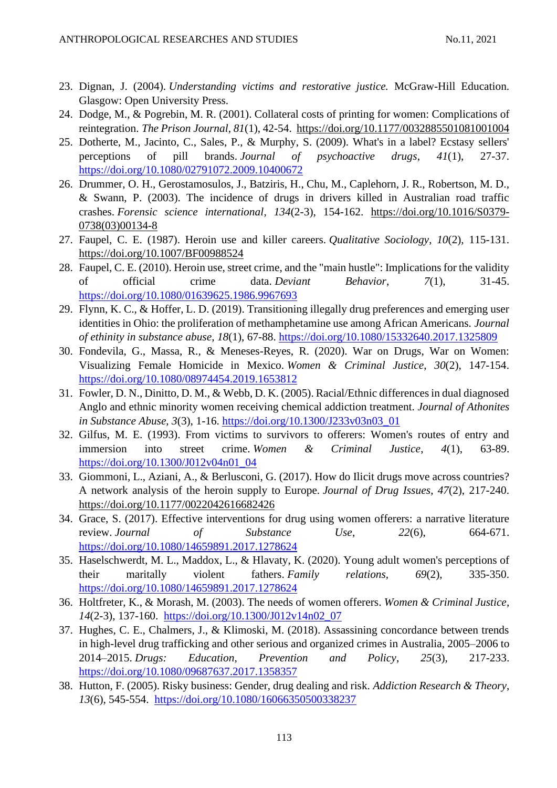- 23. Dignan, J. (2004). *Understanding victims and restorative justice.* McGraw-Hill Education. Glasgow: Open University Press.
- 24. Dodge, M., & Pogrebin, M. R. (2001). Collateral costs of printing for women: Complications of reintegration. *The Prison Journal*, *81*(1), 42-54. [https://doi.org/10.1177/0032885501081001004](https://doi.org/10.1177%2F0032885501081001004)
- 25. Dotherte, M., Jacinto, C., Sales, P., & Murphy, S. (2009). What's in a label? Ecstasy sellers' perceptions of pill brands. *Journal of psychoactive drugs*, *41*(1), 27-37. <https://doi.org/10.1080/02791072.2009.10400672>
- 26. Drummer, O. H., Gerostamosulos, J., Batziris, H., Chu, M., Caplehorn, J. R., Robertson, M. D., & Swann, P. (2003). The incidence of drugs in drivers killed in Australian road traffic crashes. *Forensic science international*, *134*(2-3), 154-162. [https://doi.org/10.1016/S0379-](https://doi.org/10.1016/S0379-0738(03)00134-8) [0738\(03\)00134-8](https://doi.org/10.1016/S0379-0738(03)00134-8)
- 27. Faupel, C. E. (1987). Heroin use and killer careers. *Qualitative Sociology*, *10*(2), 115-131. <https://doi.org/10.1007/BF00988524>
- 28. Faupel, C. E. (2010). Heroin use, street crime, and the "main hustle": Implications for the validity of official crime data. *Deviant Behavior*, *7*(1), 31-45. <https://doi.org/10.1080/01639625.1986.9967693>
- 29. Flynn, K. C., & Hoffer, L. D. (2019). Transitioning illegally drug preferences and emerging user identities in Ohio: the proliferation of methamphetamine use among African Americans. *Journal of ethinity in substance abuse*, *18*(1), 67-88.<https://doi.org/10.1080/15332640.2017.1325809>
- 30. Fondevila, G., Massa, R., & Meneses-Reyes, R. (2020). War on Drugs, War on Women: Visualizing Female Homicide in Mexico. *Women & Criminal Justice*, *30*(2), 147-154. <https://doi.org/10.1080/08974454.2019.1653812>
- 31. Fowler, D. N., Dinitto, D. M., & Webb, D. K. (2005). Racial/Ethnic differences in dual diagnosed Anglo and ethnic minority women receiving chemical addiction treatment. *Journal of Athonites in Substance Abuse*, *3*(3), 1-16. [https://doi.org/10.1300/J233v03n03\\_01](https://doi.org/10.1300/J233v03n03_01)
- 32. Gilfus, M. E. (1993). From victims to survivors to offerers: Women's routes of entry and immersion into street crime. *Women & Criminal Justice*, *4*(1), 63-89. [https://doi.org/10.1300/J012v04n01\\_04](https://doi.org/10.1300/J012v04n01_04)
- 33. Giommoni, L., Aziani, A., & Berlusconi, G. (2017). How do Ilicit drugs move across countries? A network analysis of the heroin supply to Europe. *Journal of Drug Issues*, *47*(2), 217-240. [https://doi.org/10.1177/0022042616682426](https://doi.org/10.1177%2F0022042616682426)
- 34. Grace, S. (2017). Effective interventions for drug using women offerers: a narrative literature review. *Journal of Substance Use*, *22*(6), 664-671. <https://doi.org/10.1080/14659891.2017.1278624>
- 35. Haselschwerdt, M. L., Maddox, L., & Hlavaty, K. (2020). Young adult women's perceptions of their maritally violent fathers. *Family relations, 69*(2), 335-350. <https://doi.org/10.1080/14659891.2017.1278624>
- 36. Holtfreter, K., & Morash, M. (2003). The needs of women offerers. *Women & Criminal Justice*, *14*(2-3), 137-160. [https://doi.org/10.1300/J012v14n02\\_07](https://doi.org/10.1300/J012v14n02_07)
- 37. Hughes, C. E., Chalmers, J., & Klimoski, M. (2018). Assassining concordance between trends in high-level drug trafficking and other serious and organized crimes in Australia, 2005–2006 to 2014–2015. *Drugs: Education, Prevention and Policy*, *25*(3), 217-233. <https://doi.org/10.1080/09687637.2017.1358357>
- 38. Hutton, F. (2005). Risky business: Gender, drug dealing and risk. *Addiction Research & Theory*, *13*(6), 545-554. <https://doi.org/10.1080/16066350500338237>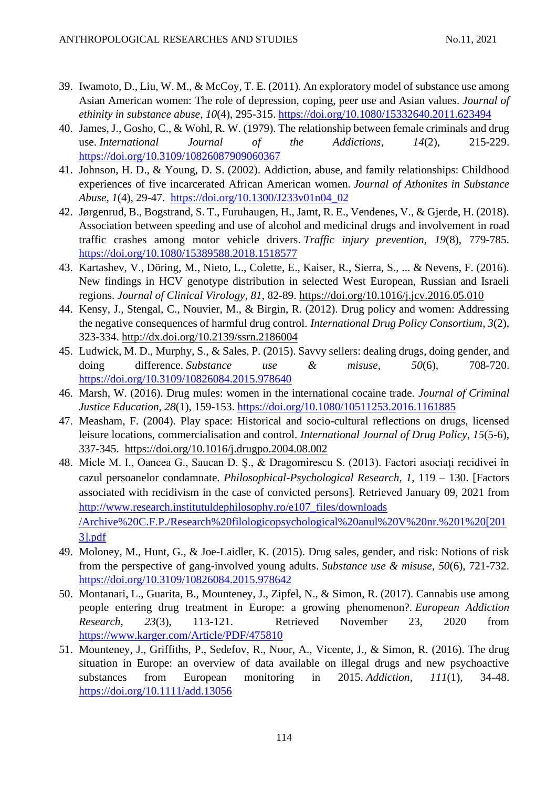- 39. Iwamoto, D., Liu, W. M., & McCoy, T. E. (2011). An exploratory model of substance use among Asian American women: The role of depression, coping, peer use and Asian values. *Journal of ethinity in substance abuse*, *10*(4), 295-315.<https://doi.org/10.1080/15332640.2011.623494>
- 40. James, J., Gosho, C., & Wohl, R. W. (1979). The relationship between female criminals and drug use. *International Journal of the Addictions*, *14*(2), 215-229. <https://doi.org/10.3109/10826087909060367>
- 41. Johnson, H. D., & Young, D. S. (2002). Addiction, abuse, and family relationships: Childhood experiences of five incarcerated African American women. *Journal of Athonites in Substance Abuse*, *1*(4), 29-47. [https://doi.org/10.1300/J233v01n04\\_02](https://doi.org/10.1300/J233v01n04_02)
- 42. Jørgenrud, B., Bogstrand, S. T., Furuhaugen, H., Jamt, R. E., Vendenes, V., & Gjerde, H. (2018). Association between speeding and use of alcohol and medicinal drugs and involvement in road traffic crashes among motor vehicle drivers. *Traffic injury prevention, 19*(8), 779-785. <https://doi.org/10.1080/15389588.2018.1518577>
- 43. Kartashev, V., Döring, M., Nieto, L., Colette, E., Kaiser, R., Sierra, S., ... & Nevens, F. (2016). New findings in HCV genotype distribution in selected West European, Russian and Israeli regions. *Journal of Clinical Virology*, *81*, 82-89.<https://doi.org/10.1016/j.jcv.2016.05.010>
- 44. Kensy, J., Stengal, C., Nouvier, M., & Birgin, R. (2012). Drug policy and women: Addressing the negative consequences of harmful drug control. *International Drug Policy Consortium*, *3*(2), 323-334. [http://dx.doi.org/10.2139/ssrn.2186004](https://dx.doi.org/10.2139/ssrn.2186004)
- 45. Ludwick, M. D., Murphy, S., & Sales, P. (2015). Savvy sellers: dealing drugs, doing gender, and doing difference. *Substance use & misuse*, *50*(6), 708-720. <https://doi.org/10.3109/10826084.2015.978640>
- 46. Marsh, W. (2016). Drug mules: women in the international cocaine trade. *Journal of Criminal Justice Education, 28*(1), 159-153.<https://doi.org/10.1080/10511253.2016.1161885>
- 47. Measham, F. (2004). Play space: Historical and socio-cultural reflections on drugs, licensed leisure locations, commercialisation and control. *International Journal of Drug Policy*, *15*(5-6), 337-345. <https://doi.org/10.1016/j.drugpo.2004.08.002>
- 48. Micle M. I., Oancea G., Saucan D. Ş., & Dragomirescu S. (2013). Factori asociaţi recidivei în cazul persoanelor condamnate. *Philosophical-Psychological Research*, *1*, 119 – 130. [Factors associated with recidivism in the case of convicted persons]*.* Retrieved January 09, 2021 from [http://www.research.institutuldephilosophy.ro/e107\\_files/downloads](http://www.research.institutuldephilosophy.ro/e107_files/downloads%20/Archive%20C.F.P./Research%20filologicopsychological%20anul%20V%20nr.%201%20%5b2013%5d.pdf)  [/Archive%20C.F.P./Research%20filologicopsychological%20anul%20V%20nr.%201%20\[201](http://www.research.institutuldephilosophy.ro/e107_files/downloads%20/Archive%20C.F.P./Research%20filologicopsychological%20anul%20V%20nr.%201%20%5b2013%5d.pdf) [3\].pdf](http://www.research.institutuldephilosophy.ro/e107_files/downloads%20/Archive%20C.F.P./Research%20filologicopsychological%20anul%20V%20nr.%201%20%5b2013%5d.pdf)
- 49. Moloney, M., Hunt, G., & Joe-Laidler, K. (2015). Drug sales, gender, and risk: Notions of risk from the perspective of gang-involved young adults. *Substance use & misuse*, *50*(6), 721-732. <https://doi.org/10.3109/10826084.2015.978642>
- 50. Montanari, L., Guarita, B., Mounteney, J., Zipfel, N., & Simon, R. (2017). Cannabis use among people entering drug treatment in Europe: a growing phenomenon?. *European Addiction Research*, *23*(3), 113-121. Retrieved November 23, 2020 from <https://www.karger.com/Article/PDF/475810>
- 51. Mounteney, J., Griffiths, P., Sedefov, R., Noor, A., Vicente, J., & Simon, R. (2016). The drug situation in Europe: an overview of data available on illegal drugs and new psychoactive substances from European monitoring in 2015. *Addiction*, *111*(1), 34-48. <https://doi.org/10.1111/add.13056>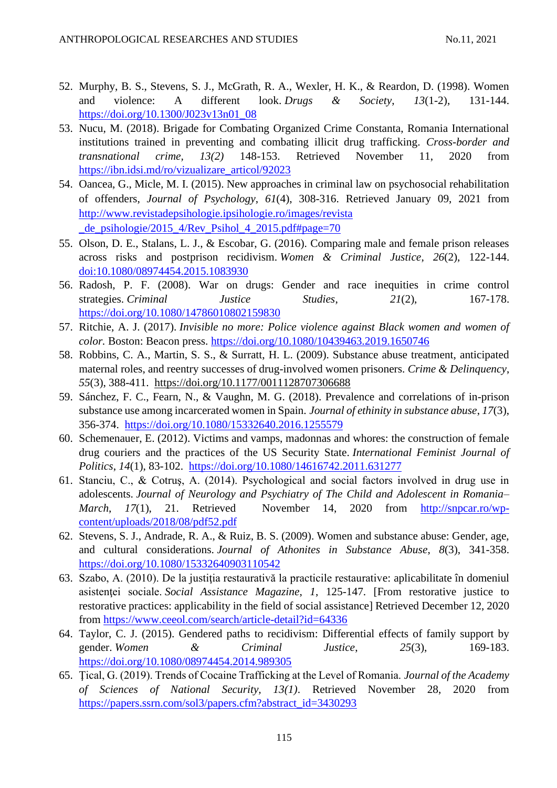- 52. Murphy, B. S., Stevens, S. J., McGrath, R. A., Wexler, H. K., & Reardon, D. (1998). Women and violence: A different look. *Drugs & Society*, *13*(1-2), 131-144. [https://doi.org/10.1300/J023v13n01\\_08](https://doi.org/10.1300/J023v13n01_08)
- 53. Nucu, M. (2018). Brigade for Combating Organized Crime Constanta, Romania International institutions trained in preventing and combating illicit drug trafficking. *Cross-border and transnational crime, 13(2)* 148-153. Retrieved November 11, 2020 from [https://ibn.idsi.md/ro/vizualizare\\_articol/92023](https://ibn.idsi.md/ro/vizualizare_articol/92023)
- 54. Oancea, G., Micle, M. I. (2015). New approaches in criminal law on psychosocial rehabilitation of offenders, *Journal of Psychology*, *61*(4), 308-316. Retrieved January 09, 2021 from [http://www.revistadepsihologie.ipsihologie.ro/images/revista](http://www.revistadepsihologie.ipsihologie.ro/images/revista%20_de_psihologie/2015_4/Rev_Psihol_4_2015.pdf#page=70)  de\_psihologie/2015\_4/Rev\_Psihol\_4\_2015.pdf#page=70
- 55. Olson, D. E., Stalans, L. J., & Escobar, G. (2016). Comparing male and female prison releases across risks and postprison recidivism. *Women & Criminal Justice*, *26*(2), 122-144. [doi:10.1080/08974454.2015.1083930](https://www.tandfonline.com/doi/abs/10.1080/08974454.2015.1083930)
- 56. Radosh, P. F. (2008). War on drugs: Gender and race inequities in crime control strategies. *Criminal Justice Studies*, 21(2), 167-178. <https://doi.org/10.1080/14786010802159830>
- 57. Ritchie, A. J. (2017). *Invisible no more: Police violence against Black women and women of color.* Boston: Beacon press.<https://doi.org/10.1080/10439463.2019.1650746>
- 58. Robbins, C. A., Martin, S. S., & Surratt, H. L. (2009). Substance abuse treatment, anticipated maternal roles, and reentry successes of drug-involved women prisoners. *Crime & Delinquency*, *55*(3), 388-411. [https://doi.org/10.1177/0011128707306688](https://doi.org/10.1177%2F0011128707306688)
- 59. Sánchez, F. C., Fearn, N., & Vaughn, M. G. (2018). Prevalence and correlations of in-prison substance use among incarcerated women in Spain. *Journal of ethinity in substance abuse*, *17*(3), 356-374. <https://doi.org/10.1080/15332640.2016.1255579>
- 60. Schemenauer, E. (2012). Victims and vamps, madonnas and whores: the construction of female drug couriers and the practices of the US Security State. *International Feminist Journal of Politics*, *14*(1), 83-102. <https://doi.org/10.1080/14616742.2011.631277>
- 61. Stanciu, C., & Cotruş, A. (2014). Psychological and social factors involved in drug use in adolescents. *Journal of Neurology and Psychiatry of The Child and Adolescent in Romania– March*, *17*(1), 21. Retrieved November 14, 2020 from [http://snpcar.ro/wp](http://snpcar.ro/wp-content/uploads/2018/08/pdf52.pdf)[content/uploads/2018/08/pdf52.pdf](http://snpcar.ro/wp-content/uploads/2018/08/pdf52.pdf)
- 62. Stevens, S. J., Andrade, R. A., & Ruiz, B. S. (2009). Women and substance abuse: Gender, age, and cultural considerations. *Journal of Athonites in Substance Abuse*, *8*(3), 341-358. <https://doi.org/10.1080/15332640903110542>
- 63. Szabo, A. (2010). De la justiţia restaurativă la practicile restaurative: aplicabilitate în domeniul asistentei sociale. *Social Assistance Magazine*, *1*, 125-147. [From restorative justice to restorative practices: applicability in the field of social assistance] Retrieved December 12, 2020 from <https://www.ceeol.com/search/article-detail?id=64336>
- 64. Taylor, C. J. (2015). Gendered paths to recidivism: Differential effects of family support by gender. *Women & Criminal Justice*, *25*(3), 169-183. <https://doi.org/10.1080/08974454.2014.989305>
- 65. Ţical, G. (2019). Trends of Cocaine Trafficking at the Level of Romania. *Journal of the Academy of Sciences of National Security, 13(1)*. Retrieved November 28, 2020 from [https://papers.ssrn.com/sol3/papers.cfm?abstract\\_id=3430293](https://papers.ssrn.com/sol3/papers.cfm?abstract_id=3430293)